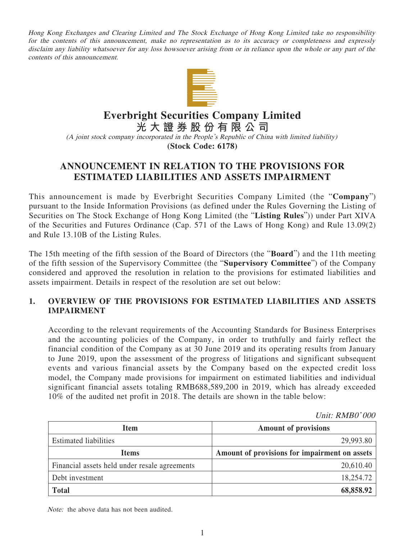Hong Kong Exchanges and Clearing Limited and The Stock Exchange of Hong Kong Limited take no responsibility for the contents of this announcement, make no representation as to its accuracy or completeness and expressly disclaim any liability whatsoever for any loss howsoever arising from or in reliance upon the whole or any part of the contents of this announcement.



**Everbright Securities Company Limited**

**光大證券股份有限公司**

(A joint stock company incorporated in the People's Republic of China with limited liability) **(Stock Code: 6178)**

# **ANNOUNCEMENT IN RELATION TO THE PROVISIONS FOR ESTIMATED LIABILITIES AND ASSETS IMPAIRMENT**

This announcement is made by Everbright Securities Company Limited (the "**Company**") pursuant to the Inside Information Provisions (as defined under the Rules Governing the Listing of Securities on The Stock Exchange of Hong Kong Limited (the "**Listing Rules**")) under Part XIVA of the Securities and Futures Ordinance (Cap. 571 of the Laws of Hong Kong) and Rule 13.09(2) and Rule 13.10B of the Listing Rules.

The 15th meeting of the fifth session of the Board of Directors (the "**Board**") and the 11th meeting of the fifth session of the Supervisory Committee (the "**Supervisory Committee**") of the Company considered and approved the resolution in relation to the provisions for estimated liabilities and assets impairment. Details in respect of the resolution are set out below:

# **1. OVERVIEW OF THE PROVISIONS FOR ESTIMATED LIABILITIES AND ASSETS IMPAIRMENT**

According to the relevant requirements of the Accounting Standards for Business Enterprises and the accounting policies of the Company, in order to truthfully and fairly reflect the financial condition of the Company as at 30 June 2019 and its operating results from January to June 2019, upon the assessment of the progress of litigations and significant subsequent events and various financial assets by the Company based on the expected credit loss model, the Company made provisions for impairment on estimated liabilities and individual significant financial assets totaling RMB688,589,200 in 2019, which has already exceeded 10% of the audited net profit in 2018. The details are shown in the table below:

Unit: RMB0' 000

| <b>Item</b>                                   | <b>Amount of provisions</b>                   |
|-----------------------------------------------|-----------------------------------------------|
| <b>Estimated liabilities</b>                  | 29,993.80                                     |
| <b>Items</b>                                  | Amount of provisions for impairment on assets |
| Financial assets held under resale agreements | 20,610.40                                     |
| Debt investment                               | 18,254.72                                     |
| <b>Total</b>                                  | 68,858.92                                     |

Note: the above data has not been audited.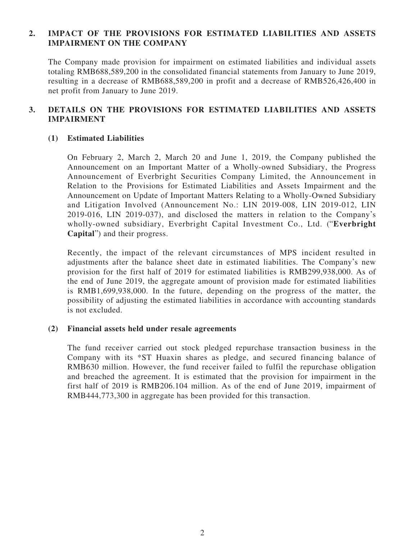# **2. IMPACT OF THE PROVISIONS FOR ESTIMATED LIABILITIES AND ASSETS IMPAIRMENT ON THE COMPANY**

The Company made provision for impairment on estimated liabilities and individual assets totaling RMB688,589,200 in the consolidated financial statements from January to June 2019, resulting in a decrease of RMB688,589,200 in profit and a decrease of RMB526,426,400 in net profit from January to June 2019.

# **3. DETAILS ON THE PROVISIONS FOR ESTIMATED LIABILITIES AND ASSETS IMPAIRMENT**

## **(1) Estimated Liabilities**

On February 2, March 2, March 20 and June 1, 2019, the Company published the Announcement on an Important Matter of a Wholly-owned Subsidiary, the Progress Announcement of Everbright Securities Company Limited, the Announcement in Relation to the Provisions for Estimated Liabilities and Assets Impairment and the Announcement on Update of Important Matters Relating to a Wholly-Owned Subsidiary and Litigation Involved (Announcement No.: LIN 2019-008, LIN 2019-012, LIN 2019-016, LIN 2019-037), and disclosed the matters in relation to the Company's wholly-owned subsidiary, Everbright Capital Investment Co., Ltd. ("**Everbright Capital**") and their progress.

Recently, the impact of the relevant circumstances of MPS incident resulted in adjustments after the balance sheet date in estimated liabilities. The Company's new provision for the first half of 2019 for estimated liabilities is RMB299,938,000. As of the end of June 2019, the aggregate amount of provision made for estimated liabilities is RMB1,699,938,000. In the future, depending on the progress of the matter, the possibility of adjusting the estimated liabilities in accordance with accounting standards is not excluded.

#### **(2) Financial assets held under resale agreements**

The fund receiver carried out stock pledged repurchase transaction business in the Company with its \*ST Huaxin shares as pledge, and secured financing balance of RMB630 million. However, the fund receiver failed to fulfil the repurchase obligation and breached the agreement. It is estimated that the provision for impairment in the first half of 2019 is RMB206.104 million. As of the end of June 2019, impairment of RMB444,773,300 in aggregate has been provided for this transaction.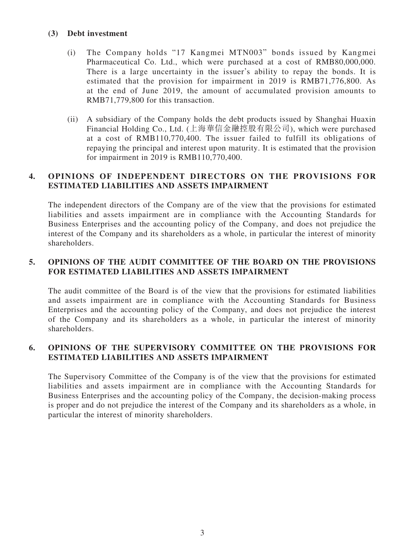#### **(3) Debt investment**

- (i) The Company holds "17 Kangmei MTN003" bonds issued by Kangmei Pharmaceutical Co. Ltd., which were purchased at a cost of RMB80,000,000. There is a large uncertainty in the issuer's ability to repay the bonds. It is estimated that the provision for impairment in 2019 is RMB71,776,800. As at the end of June 2019, the amount of accumulated provision amounts to RMB71,779,800 for this transaction.
- (ii) A subsidiary of the Company holds the debt products issued by Shanghai Huaxin Financial Holding Co., Ltd. (上海華信金融控股有限公司), which were purchased at a cost of RMB110,770,400. The issuer failed to fulfill its obligations of repaying the principal and interest upon maturity. It is estimated that the provision for impairment in 2019 is RMB110,770,400.

# **4. OPINIONS OF INDEPENDENT DIRECTORS ON THE PROVISIONS FOR ESTIMATED LIABILITIES AND ASSETS IMPAIRMENT**

The independent directors of the Company are of the view that the provisions for estimated liabilities and assets impairment are in compliance with the Accounting Standards for Business Enterprises and the accounting policy of the Company, and does not prejudice the interest of the Company and its shareholders as a whole, in particular the interest of minority shareholders.

## **5. OPINIONS OF THE AUDIT COMMITTEE OF THE BOARD ON THE PROVISIONS FOR ESTIMATED LIABILITIES AND ASSETS IMPAIRMENT**

The audit committee of the Board is of the view that the provisions for estimated liabilities and assets impairment are in compliance with the Accounting Standards for Business Enterprises and the accounting policy of the Company, and does not prejudice the interest of the Company and its shareholders as a whole, in particular the interest of minority shareholders.

## **6. OPINIONS OF THE SUPERVISORY COMMITTEE ON THE PROVISIONS FOR ESTIMATED LIABILITIES AND ASSETS IMPAIRMENT**

The Supervisory Committee of the Company is of the view that the provisions for estimated liabilities and assets impairment are in compliance with the Accounting Standards for Business Enterprises and the accounting policy of the Company, the decision-making process is proper and do not prejudice the interest of the Company and its shareholders as a whole, in particular the interest of minority shareholders.